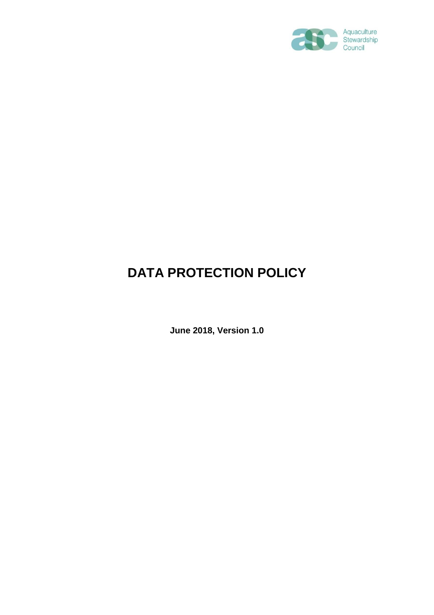

# **DATA PROTECTION POLICY**

**June 2018, Version 1.0**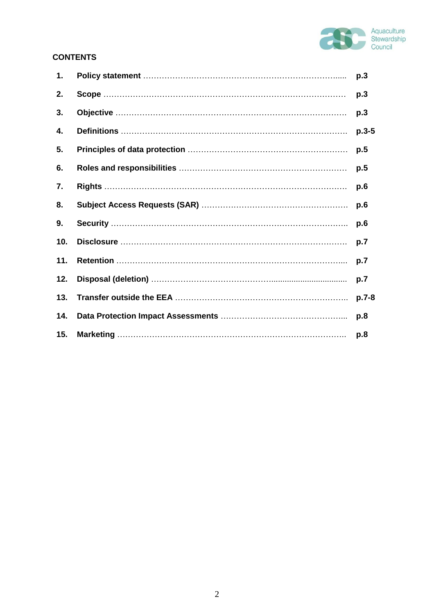

# **CONTENTS**

| 1.  | p.3     |
|-----|---------|
| 2.  | p.3     |
| 3.  | p.3     |
| 4.  | $p.3-5$ |
| 5.  | p.5     |
| 6.  | p.5     |
| 7.  | p.6     |
| 8.  | p.6     |
| 9.  | p.6     |
| 10. | p.7     |
| 11. | p.7     |
| 12. | p.7     |
| 13. | $p.7-8$ |
| 14. | p.8     |
| 15. | p.8     |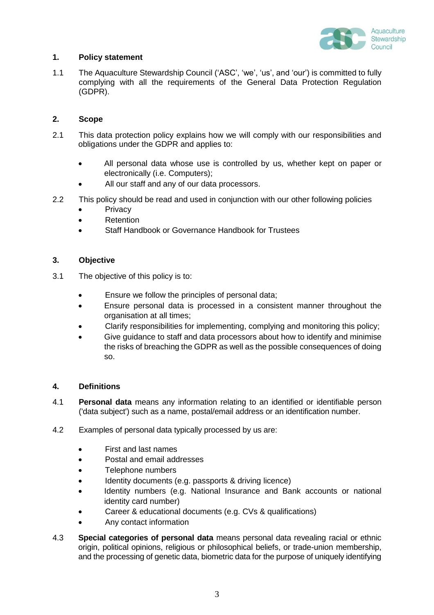

# **1. Policy statement**

1.1 The Aquaculture Stewardship Council ('ASC', 'we', 'us', and 'our') is committed to fully complying with all the requirements of the General Data Protection Regulation (GDPR).

# **2. Scope**

- 2.1 This data protection policy explains how we will comply with our responsibilities and obligations under the GDPR and applies to:
	- All personal data whose use is controlled by us, whether kept on paper or electronically (i.e. Computers);
	- All our staff and any of our data processors.
- 2.2 This policy should be read and used in conjunction with our other following policies
	- Privacy
	- Retention
	- Staff Handbook or Governance Handbook for Trustees

# **3. Objective**

- 3.1 The objective of this policy is to:
	- Ensure we follow the principles of personal data;
	- Ensure personal data is processed in a consistent manner throughout the organisation at all times;
	- Clarify responsibilities for implementing, complying and monitoring this policy;
	- Give guidance to staff and data processors about how to identify and minimise the risks of breaching the GDPR as well as the possible consequences of doing so.

# **4. Definitions**

- 4.1 **Personal data** means any information relating to an identified or identifiable person ('data subject') such as a name, postal/email address or an identification number.
- 4.2 Examples of personal data typically processed by us are:
	- First and last names
	- Postal and email addresses
	- Telephone numbers
	- Identity documents (e.g. passports & driving licence)
	- Identity numbers (e.g. National Insurance and Bank accounts or national identity card number)
	- Career & educational documents (e.g. CVs & qualifications)
	- Any contact information
- 4.3 **Special categories of personal data** means personal data revealing racial or ethnic origin, political opinions, religious or philosophical beliefs, or trade-union membership, and the processing of genetic data, biometric data for the purpose of uniquely identifying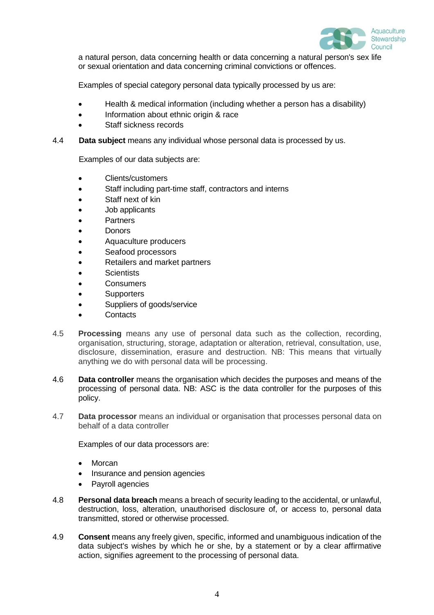

a natural person, data concerning health or data concerning a natural person's sex life or sexual orientation and data concerning criminal convictions or offences.

Examples of special category personal data typically processed by us are:

- Health & medical information (including whether a person has a disability)
- Information about ethnic origin & race
- Staff sickness records

## 4.4 **Data subject** means any individual whose personal data is processed by us.

Examples of our data subjects are:

- Clients/customers
- Staff including part-time staff, contractors and interns
- Staff next of kin
- Job applicants
- **Partners**
- **Donors**
- Aquaculture producers
- Seafood processors
- Retailers and market partners
- **Scientists**
- **Consumers**
- **Supporters**
- Suppliers of goods/service
- **Contacts**
- 4.5 **Processing** means any use of personal data such as the collection, recording, organisation, structuring, storage, adaptation or alteration, retrieval, consultation, use, disclosure, dissemination, erasure and destruction. NB: This means that virtually anything we do with personal data will be processing.
- 4.6 **Data controller** means the organisation which decides the purposes and means of the processing of personal data. NB: ASC is the data controller for the purposes of this policy.
- 4.7 **Data processor** means an individual or organisation that processes personal data on behalf of a data controller

Examples of our data processors are:

- Morcan
- Insurance and pension agencies
- Payroll agencies
- 4.8 **Personal data breach** means a breach of security leading to the accidental, or unlawful, destruction, loss, alteration, unauthorised disclosure of, or access to, personal data transmitted, stored or otherwise processed.
- 4.9 **Consent** means any freely given, specific, informed and unambiguous indication of the data subject's wishes by which he or she, by a statement or by a clear affirmative action, signifies agreement to the processing of personal data.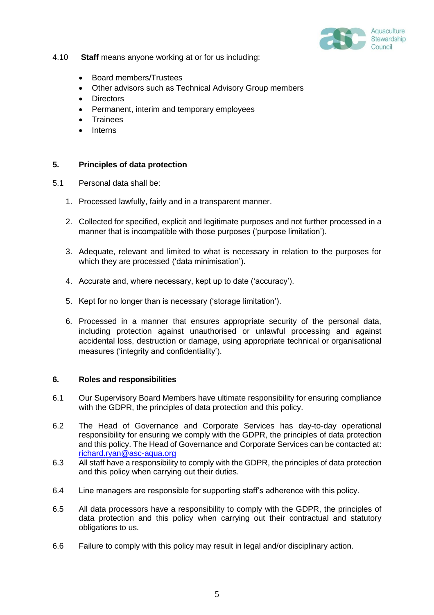

- 4.10 **Staff** means anyone working at or for us including:
	- Board members/Trustees
	- Other advisors such as Technical Advisory Group members
	- **Directors**
	- Permanent, interim and temporary employees
	- Trainees
	- Interns

# **5. Principles of data protection**

- 5.1 Personal data shall be:
	- 1. Processed lawfully, fairly and in a transparent manner.
	- 2. Collected for specified, explicit and legitimate purposes and not further processed in a manner that is incompatible with those purposes ('purpose limitation').
	- 3. Adequate, relevant and limited to what is necessary in relation to the purposes for which they are processed ('data minimisation').
	- 4. Accurate and, where necessary, kept up to date ('accuracy').
	- 5. Kept for no longer than is necessary ('storage limitation').
	- 6. Processed in a manner that ensures appropriate security of the personal data, including protection against unauthorised or unlawful processing and against accidental loss, destruction or damage, using appropriate technical or organisational measures ('integrity and confidentiality').

# **6. Roles and responsibilities**

- 6.1 Our Supervisory Board Members have ultimate responsibility for ensuring compliance with the GDPR, the principles of data protection and this policy.
- 6.2 The Head of Governance and Corporate Services has day-to-day operational responsibility for ensuring we comply with the GDPR, the principles of data protection and this policy. The Head of Governance and Corporate Services can be contacted at: [richard.ryan@asc-aqua.org](mailto:richard.ryan@asc-aqua.org)
- 6.3 All staff have a responsibility to comply with the GDPR, the principles of data protection and this policy when carrying out their duties.
- 6.4 Line managers are responsible for supporting staff's adherence with this policy.
- 6.5 All data processors have a responsibility to comply with the GDPR, the principles of data protection and this policy when carrying out their contractual and statutory obligations to us.
- 6.6 Failure to comply with this policy may result in legal and/or disciplinary action.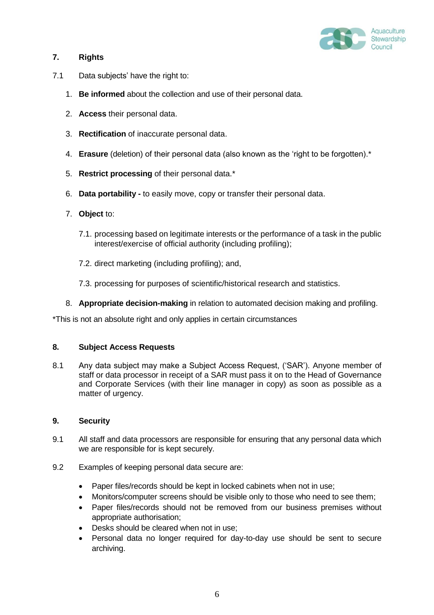

# **7. Rights**

- 7.1 Data subjects' have the right to:
	- 1. **Be informed** about the collection and use of their personal data.
	- 2. **Access** their personal data.
	- 3. **Rectification** of inaccurate personal data.
	- 4. **Erasure** (deletion) of their personal data (also known as the 'right to be forgotten).\*
	- 5. **Restrict processing** of their personal data.\*
	- 6. **Data portability -** to easily move, copy or transfer their personal data.
	- 7. **Object** to:
		- 7.1. processing based on legitimate interests or the performance of a task in the public interest/exercise of official authority (including profiling);
		- 7.2. direct marketing (including profiling); and,
		- 7.3. processing for purposes of scientific/historical research and statistics.
	- 8. **Appropriate decision-making** in relation to automated decision making and profiling.

\*This is not an absolute right and only applies in certain circumstances

# **8. Subject Access Requests**

8.1 Any data subject may make a Subject Access Request, ('SAR'). Anyone member of staff or data processor in receipt of a SAR must pass it on to the Head of Governance and Corporate Services (with their line manager in copy) as soon as possible as a matter of urgency.

# **9. Security**

- 9.1 All staff and data processors are responsible for ensuring that any personal data which we are responsible for is kept securely.
- 9.2 Examples of keeping personal data secure are:
	- Paper files/records should be kept in locked cabinets when not in use;
	- Monitors/computer screens should be visible only to those who need to see them;
	- Paper files/records should not be removed from our business premises without appropriate authorisation;
	- Desks should be cleared when not in use;
	- Personal data no longer required for day-to-day use should be sent to secure archiving.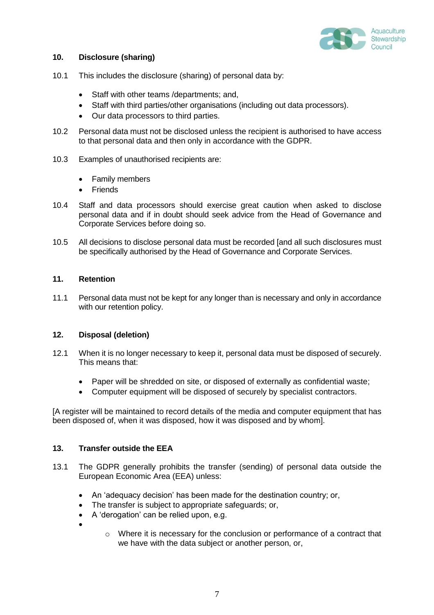

# **10. Disclosure (sharing)**

- 10.1 This includes the disclosure (sharing) of personal data by:
	- Staff with other teams /departments; and,
	- Staff with third parties/other organisations (including out data processors).
	- Our data processors to third parties.
- 10.2 Personal data must not be disclosed unless the recipient is authorised to have access to that personal data and then only in accordance with the GDPR.
- 10.3 Examples of unauthorised recipients are:
	- Family members
	- Friends
- 10.4 Staff and data processors should exercise great caution when asked to disclose personal data and if in doubt should seek advice from the Head of Governance and Corporate Services before doing so.
- 10.5 All decisions to disclose personal data must be recorded [and all such disclosures must be specifically authorised by the Head of Governance and Corporate Services.

## **11. Retention**

11.1 Personal data must not be kept for any longer than is necessary and only in accordance with our retention policy.

#### **12. Disposal (deletion)**

- 12.1 When it is no longer necessary to keep it, personal data must be disposed of securely. This means that:
	- Paper will be shredded on site, or disposed of externally as confidential waste;
	- Computer equipment will be disposed of securely by specialist contractors.

[A register will be maintained to record details of the media and computer equipment that has been disposed of, when it was disposed, how it was disposed and by whom].

## **13. Transfer outside the EEA**

- 13.1 The GDPR generally prohibits the transfer (sending) of personal data outside the European Economic Area (EEA) unless:
	- An 'adequacy decision' has been made for the destination country; or,
	- The transfer is subject to appropriate safeguards; or,
	- A 'derogation' can be relied upon, e.g.
	- $\bullet$
- $\circ$  Where it is necessary for the conclusion or performance of a contract that we have with the data subject or another person, or,